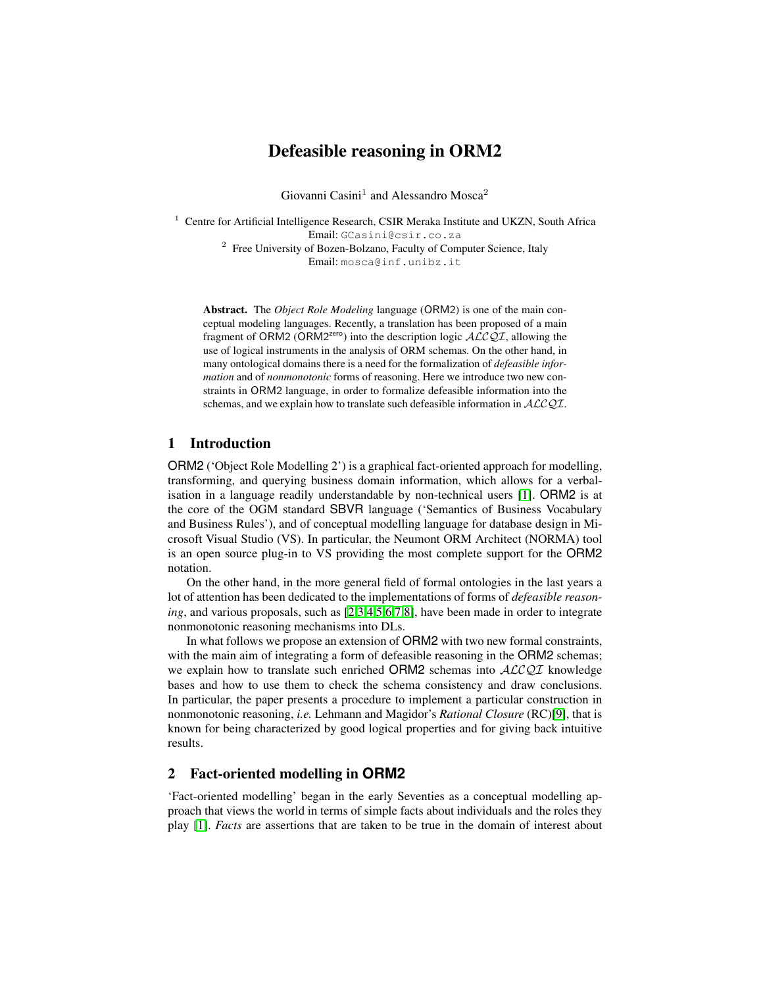# Defeasible reasoning in ORM2

Giovanni Casini<sup>1</sup> and Alessandro Mosca<sup>2</sup>

<sup>1</sup> Centre for Artificial Intelligence Research, CSIR Meraka Institute and UKZN, South Africa Email: GCasini@csir.co.za <sup>2</sup> Free University of Bozen-Bolzano, Faculty of Computer Science, Italy Email: mosca@inf.unibz.it

Abstract. The *Object Role Modeling* language (ORM2) is one of the main conceptual modeling languages. Recently, a translation has been proposed of a main fragment of ORM2 (ORM2<sup>zero</sup>) into the description logic  $\mathcal{ALCQL}$ , allowing the use of logical instruments in the analysis of ORM schemas. On the other hand, in many ontological domains there is a need for the formalization of *defeasible information* and of *nonmonotonic* forms of reasoning. Here we introduce two new constraints in ORM2 language, in order to formalize defeasible information into the schemas, and we explain how to translate such defeasible information in  $ALCQI$ .

### 1 Introduction

ORM2 ('Object Role Modelling 2') is a graphical fact-oriented approach for modelling, transforming, and querying business domain information, which allows for a verbalisation in a language readily understandable by non-technical users [\[1\]](#page-11-0). ORM2 is at the core of the OGM standard SBVR language ('Semantics of Business Vocabulary and Business Rules'), and of conceptual modelling language for database design in Microsoft Visual Studio (VS). In particular, the Neumont ORM Architect (NORMA) tool is an open source plug-in to VS providing the most complete support for the ORM2 notation.

On the other hand, in the more general field of formal ontologies in the last years a lot of attention has been dedicated to the implementations of forms of *defeasible reasoning*, and various proposals, such as [\[2,](#page-11-1)[3,](#page-11-2)[4](#page-11-3)[,5](#page-11-4)[,6](#page-11-5)[,7](#page-11-6)[,8\]](#page-11-7), have been made in order to integrate nonmonotonic reasoning mechanisms into DLs.

In what follows we propose an extension of ORM2 with two new formal constraints, with the main aim of integrating a form of defeasible reasoning in the ORM2 schemas; we explain how to translate such enriched ORM2 schemas into  $ALCQI$  knowledge bases and how to use them to check the schema consistency and draw conclusions. In particular, the paper presents a procedure to implement a particular construction in nonmonotonic reasoning, *i.e.* Lehmann and Magidor's *Rational Closure* (RC)[\[9\]](#page-11-8), that is known for being characterized by good logical properties and for giving back intuitive results.

## 2 Fact-oriented modelling in **ORM2**

'Fact-oriented modelling' began in the early Seventies as a conceptual modelling approach that views the world in terms of simple facts about individuals and the roles they play [\[1\]](#page-11-0). *Facts* are assertions that are taken to be true in the domain of interest about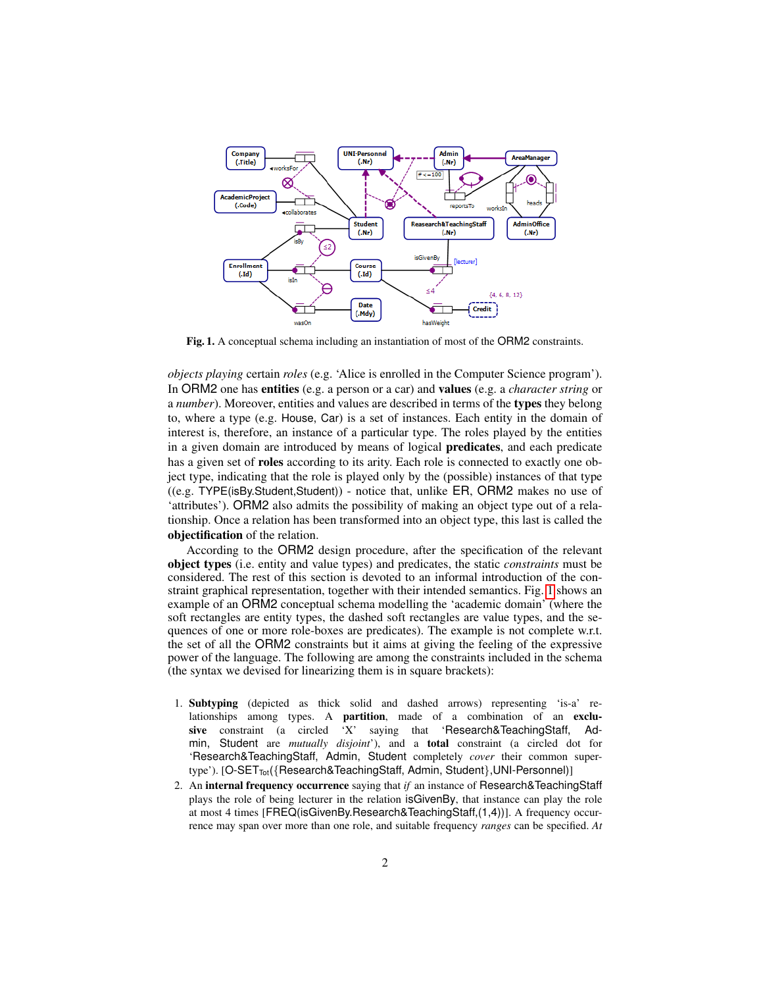

<span id="page-1-0"></span>Fig. 1. A conceptual schema including an instantiation of most of the ORM2 constraints.

*objects playing* certain *roles* (e.g. 'Alice is enrolled in the Computer Science program'). In ORM2 one has entities (e.g. a person or a car) and values (e.g. a *character string* or a *number*). Moreover, entities and values are described in terms of the types they belong to, where a type (e.g. House, Car) is a set of instances. Each entity in the domain of interest is, therefore, an instance of a particular type. The roles played by the entities in a given domain are introduced by means of logical predicates, and each predicate has a given set of roles according to its arity. Each role is connected to exactly one object type, indicating that the role is played only by the (possible) instances of that type ((e.g. TYPE(isBy.Student,Student)) - notice that, unlike ER, ORM2 makes no use of 'attributes'). ORM2 also admits the possibility of making an object type out of a relationship. Once a relation has been transformed into an object type, this last is called the objectification of the relation.

According to the ORM2 design procedure, after the specification of the relevant object types (i.e. entity and value types) and predicates, the static *constraints* must be considered. The rest of this section is devoted to an informal introduction of the constraint graphical representation, together with their intended semantics. Fig. [1](#page-1-0) shows an example of an ORM2 conceptual schema modelling the 'academic domain' (where the soft rectangles are entity types, the dashed soft rectangles are value types, and the sequences of one or more role-boxes are predicates). The example is not complete w.r.t. the set of all the ORM2 constraints but it aims at giving the feeling of the expressive power of the language. The following are among the constraints included in the schema (the syntax we devised for linearizing them is in square brackets):

- 1. Subtyping (depicted as thick solid and dashed arrows) representing 'is-a' relationships among types. A partition, made of a combination of an exclusive constraint (a circled 'X' saying that 'Research&TeachingStaff, Admin, Student are *mutually disjoint*'), and a total constraint (a circled dot for 'Research&TeachingStaff, Admin, Student completely *cover* their common supertype'). [O-SET<sub>Tot</sub>({Research&TeachingStaff, Admin, Student}, UNI-Personnel)]
- 2. An internal frequency occurrence saying that *if* an instance of Research&TeachingStaff plays the role of being lecturer in the relation isGivenBy, that instance can play the role at most 4 times [FREQ(isGivenBy.Research&TeachingStaff,(1,4))]. A frequency occurrence may span over more than one role, and suitable frequency *ranges* can be specified. *At*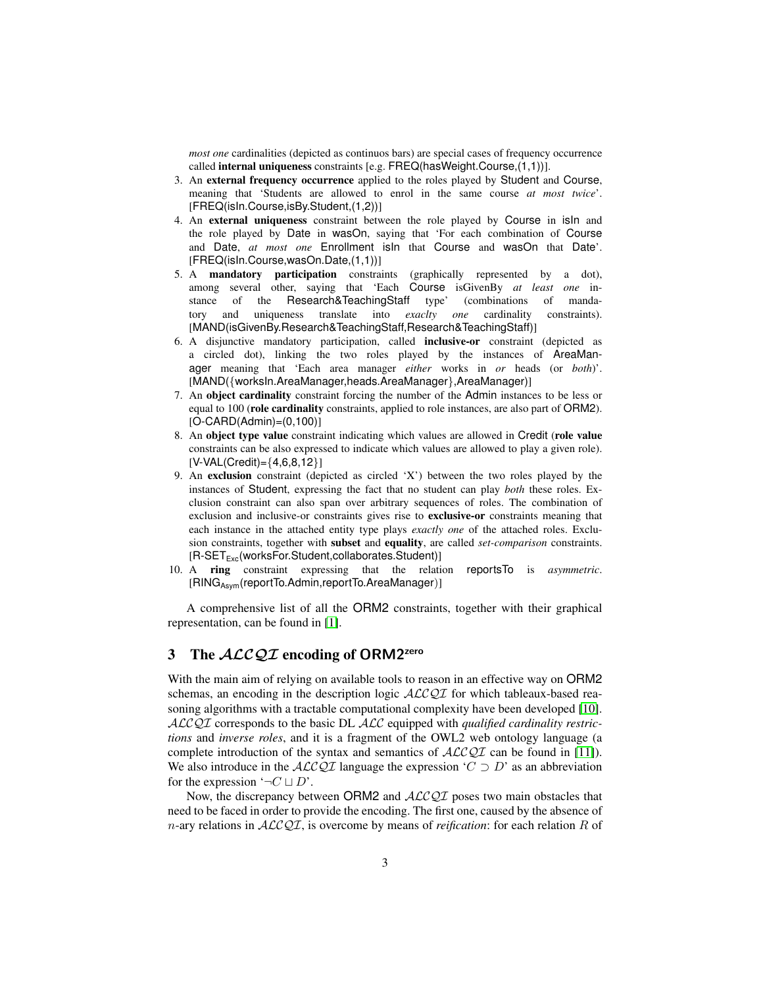*most one* cardinalities (depicted as continuos bars) are special cases of frequency occurrence called internal uniqueness constraints [e.g. FREQ(hasWeight.Course,(1,1))].

- 3. An external frequency occurrence applied to the roles played by Student and Course, meaning that 'Students are allowed to enrol in the same course *at most twice*'. [FREQ(isIn.Course,isBy.Student,(1,2))]
- 4. An external uniqueness constraint between the role played by Course in isIn and the role played by Date in wasOn, saying that 'For each combination of Course and Date, *at most one* Enrollment isIn that Course and wasOn that Date'. [FREQ(isIn.Course,wasOn.Date,(1,1))]
- 5. A mandatory participation constraints (graphically represented by a dot), among several other, saying that 'Each Course isGivenBy *at least one* instance of the Research&TeachingStaff type' (combinations of mandatory and uniqueness translate into *exaclty one* cardinality constraints). [MAND(isGivenBy.Research&TeachingStaff,Research&TeachingStaff)]
- 6. A disjunctive mandatory participation, called inclusive-or constraint (depicted as a circled dot), linking the two roles played by the instances of AreaManager meaning that 'Each area manager *either* works in *or* heads (or *both*)'. [MAND({worksIn.AreaManager,heads.AreaManager},AreaManager)]
- 7. An object cardinality constraint forcing the number of the Admin instances to be less or equal to 100 (role cardinality constraints, applied to role instances, are also part of ORM2). [O-CARD(Admin)=(0,100)]
- 8. An object type value constraint indicating which values are allowed in Credit (role value constraints can be also expressed to indicate which values are allowed to play a given role).  $[V-VAL(Credit) = {4,6,8,12}]$
- 9. An exclusion constraint (depicted as circled 'X') between the two roles played by the instances of Student, expressing the fact that no student can play *both* these roles. Exclusion constraint can also span over arbitrary sequences of roles. The combination of exclusion and inclusive-or constraints gives rise to exclusive-or constraints meaning that each instance in the attached entity type plays *exactly one* of the attached roles. Exclusion constraints, together with subset and equality, are called *set-comparison* constraints. [R-SET<sub>Exc</sub>(worksFor.Student,collaborates.Student)]
- 10. A ring constraint expressing that the relation reportsTo is *asymmetric*. [RINGAsym(reportTo.Admin,reportTo.AreaManager)]

A comprehensive list of all the ORM2 constraints, together with their graphical representation, can be found in [\[1\]](#page-11-0).

## 3 The  $ALCQI$  encoding of ORM2<sup>zero</sup>

With the main aim of relying on available tools to reason in an effective way on ORM2 schemas, an encoding in the description logic  $\text{ALCQI}$  for which tableaux-based reasoning algorithms with a tractable computational complexity have been developed [\[10\]](#page-11-9). ALCQI corresponds to the basic DL ALC equipped with *qualified cardinality restrictions* and *inverse roles*, and it is a fragment of the OWL2 web ontology language (a complete introduction of the syntax and semantics of  $\mathcal{ALCQI}$  can be found in [\[11\]](#page-11-10)). We also introduce in the  $ALCQI$  language the expression ' $C \supset D$ ' as an abbreviation for the expression  $\neg C \sqcup D'$ .

Now, the discrepancy between ORM2 and  $ALCQI$  poses two main obstacles that need to be faced in order to provide the encoding. The first one, caused by the absence of n-ary relations in ALCQI, is overcome by means of *reification*: for each relation R of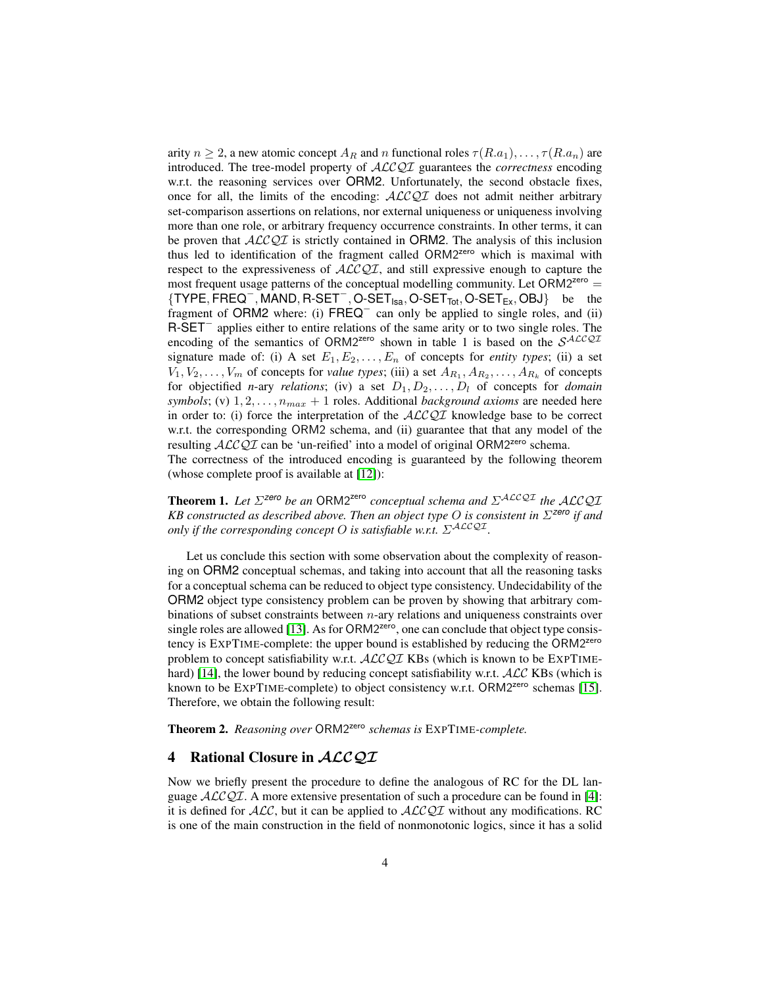arity  $n \geq 2$ , a new atomic concept  $A_R$  and n functional roles  $\tau(R.a_1), \ldots, \tau(R.a_n)$  are introduced. The tree-model property of ALCQI guarantees the *correctness* encoding w.r.t. the reasoning services over ORM2. Unfortunately, the second obstacle fixes, once for all, the limits of the encoding:  $\text{ALCQI}$  does not admit neither arbitrary set-comparison assertions on relations, nor external uniqueness or uniqueness involving more than one role, or arbitrary frequency occurrence constraints. In other terms, it can be proven that  $ALCQI$  is strictly contained in ORM2. The analysis of this inclusion thus led to identification of the fragment called ORM2zero which is maximal with respect to the expressiveness of  $\text{ALCQI}$ , and still expressive enough to capture the most frequent usage patterns of the conceptual modelling community. Let  $ORM2<sup>zero</sup>$  =  $\{ \text{TYPE}, \text{FREG}^-, \text{MAND}, \text{R-SET}^-, \text{O-SET}_{\text{Isa}}, \text{O-SET}_{\text{Tot}}, \text{O-SET}_{\text{Ex}}, \text{OBJ} \}$  be the fragment of ORM2 where: (i) FREQ<sup>−</sup> can only be applied to single roles, and (ii) R-SET<sup>-</sup> applies either to entire relations of the same arity or to two single roles. The encoding of the semantics of ORM2<sup>zero</sup> shown in table 1 is based on the  $S^{ALCQI}$ signature made of: (i) A set  $E_1, E_2, \ldots, E_n$  of concepts for *entity types*; (ii) a set  $V_1, V_2, \ldots, V_m$  of concepts for *value types*; (iii) a set  $A_{R_1}, A_{R_2}, \ldots, A_{R_k}$  of concepts for objectified *n*-ary *relations*; (iv) a set  $D_1, D_2, \ldots, D_l$  of concepts for *domain symbols*; (v)  $1, 2, \ldots, n_{max} + 1$  roles. Additional *background axioms* are needed here in order to: (i) force the interpretation of the  $ALCQI$  knowledge base to be correct w.r.t. the corresponding ORM2 schema, and (ii) guarantee that that any model of the resulting  $ALCQI$  can be 'un-reified' into a model of original ORM2<sup>zero</sup> schema. The correctness of the introduced encoding is guaranteed by the following theorem (whose complete proof is available at [\[12\]](#page-11-11)):

**Theorem 1.** Let  $\Sigma^{zero}$  be an ORM2<sup>zero</sup> conceptual schema and  $\Sigma^{ALCQL}$  the ALCQI *KB constructed as described above. Then an object type* O *is consistent in* Σ*zero if and only if the corresponding concept O is satisfiable w.r.t.*  $\Sigma^{ALCQI}$ *.* 

Let us conclude this section with some observation about the complexity of reasoning on ORM2 conceptual schemas, and taking into account that all the reasoning tasks for a conceptual schema can be reduced to object type consistency. Undecidability of the ORM2 object type consistency problem can be proven by showing that arbitrary combinations of subset constraints between n-ary relations and uniqueness constraints over single roles are allowed [\[13\]](#page-11-12). As for ORM2<sup>zero</sup>, one can conclude that object type consistency is EXPTIME-complete: the upper bound is established by reducing the ORM2<sup>zero</sup> problem to concept satisfiability w.r.t. ALCQI KBs (which is known to be EXPTIME-hard) [\[14\]](#page-11-13), the lower bound by reducing concept satisfiability w.r.t.  $ALC$  KBs (which is known to be  $EXPTIME$ -complete) to object consistency w.r.t. ORM2<sup>zero</sup> schemas [\[15\]](#page-11-14). Therefore, we obtain the following result:

<span id="page-3-0"></span>Theorem 2. *Reasoning over* ORM2zero *schemas is* EXPTIME*-complete.*

#### 4 Rational Closure in *ACCQT*

Now we briefly present the procedure to define the analogous of RC for the DL language  $\text{ACCQI}$ . A more extensive presentation of such a procedure can be found in [\[4\]](#page-11-3): it is defined for  $ALC$ , but it can be applied to  $ALCQI$  without any modifications. RC is one of the main construction in the field of nonmonotonic logics, since it has a solid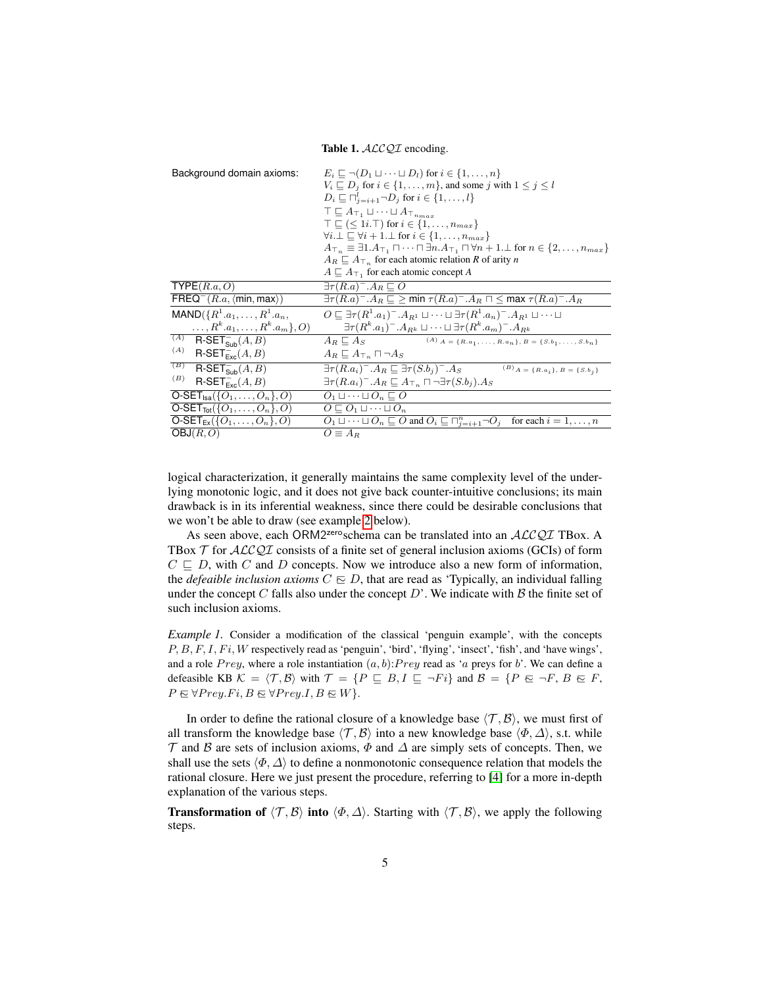Table 1. ALCQI encoding.

| Background domain axioms:                                                    | $E_i \sqsubseteq \neg (D_1 \sqcup \cdots \sqcup D_l)$ for $i \in \{1, \ldots, n\}$<br>$V_i \sqsubseteq D_j$ for $i \in \{1, \ldots, m\}$ , and some j with $1 \leq j \leq l$<br>$D_i \sqsubseteq \bigcap_{i=i+1}^{l} \neg D_i$ for $i \in \{1, \ldots, l\}$<br>$\top \sqsubseteq A_{\top_1} \sqcup \cdots \sqcup A_{\top_{n_{max}}}$<br>$\top \sqsubset (\leq 1i.\top)$ for $i \in \{1,\ldots,n_{max}\}\$<br>$\forall i \perp \square \forall i + 1 \perp \bot$ for $i \in \{1, \ldots, n_{max}\}\$<br>$A_{\top_n} \equiv \exists 1.A_{\top_1} \sqcap \cdots \sqcap \exists n.A_{\top_1} \sqcap \forall n+1.\bot$ for $n \in \{2,\ldots,n_{max}\}\$<br>$A_R \sqsubseteq A_{\top_n}$ for each atomic relation R of arity n<br>$A \sqsubset A_{\top}$ , for each atomic concept A |
|------------------------------------------------------------------------------|---------------------------------------------------------------------------------------------------------------------------------------------------------------------------------------------------------------------------------------------------------------------------------------------------------------------------------------------------------------------------------------------------------------------------------------------------------------------------------------------------------------------------------------------------------------------------------------------------------------------------------------------------------------------------------------------------------------------------------------------------------------------------------|
| $\mathsf{TYPE}(R.a, O)$                                                      | $\exists \tau(R.a)^-.A_R \sqsubseteq O$                                                                                                                                                                                                                                                                                                                                                                                                                                                                                                                                                                                                                                                                                                                                         |
| $FREQ^{-}(R.a, \langle min, max \rangle)$                                    | $\exists \tau(R.a)^-.A_R \sqsubseteq \geq \min \tau(R.a)^-.A_R \sqcap \leq \max \tau(R.a)^-.A_R$                                                                                                                                                                                                                                                                                                                                                                                                                                                                                                                                                                                                                                                                                |
| $MAND({R}^1.a_1,\ldots,R^1.a_n,$<br>$\ldots, R^k.a_1,\ldots, R^k.a_m\}$ , O) | $O \subseteq \exists \tau(R^1.a_1)^-, A_{R^1} \sqcup \cdots \sqcup \exists \tau(R^1.a_n)^-, A_{R^1} \sqcup \cdots \sqcup$<br>$\exists \tau(R^k.a_1)^-, A_{R^k} \sqcup \cdots \sqcup \exists \tau(R^k.a_m)^-, A_{R^k}$                                                                                                                                                                                                                                                                                                                                                                                                                                                                                                                                                           |
| $(A)$ R-SET <sub>Sub</sub> $(A, B)$                                          | $A_R \sqsubseteq A_S$ (A) $A = \{R.a_1, \ldots, R.a_n\}, B = \{S.b_1, \ldots, S.b_n\}$                                                                                                                                                                                                                                                                                                                                                                                                                                                                                                                                                                                                                                                                                          |
| (A)                                                                          |                                                                                                                                                                                                                                                                                                                                                                                                                                                                                                                                                                                                                                                                                                                                                                                 |
| $R\text{-}\mathsf{SET}_{\text{Exc}}^-(A,B)$                                  | $A_R \sqsubseteq A_{\top_n} \sqcap \neg A_S$                                                                                                                                                                                                                                                                                                                                                                                                                                                                                                                                                                                                                                                                                                                                    |
| (B)<br>$R\text{-}\mathsf{SET}_{\textsf{Sub}}^-(A, B)$                        | $\exists \tau(R.a_i)^-.A_R \sqsubseteq \exists \tau(S.b_i)^-.A_S$ (B) $_{A = \{R.a_i\}, B = \{S.b_i\}}$                                                                                                                                                                                                                                                                                                                                                                                                                                                                                                                                                                                                                                                                         |
| (B)<br>$R\text{-}\mathsf{SET}_{\text{Exc}}^-(A,B)$                           | $\exists \tau(R.a_i)^-.A_R \sqsubseteq A_{\top_n} \sqcap \neg \exists \tau(S.b_i).A_S$                                                                                                                                                                                                                                                                                                                                                                                                                                                                                                                                                                                                                                                                                          |
| $O-SET_{\text{Isa}}(\{O_1,\ldots,O_n\},O)$                                   | $O_1 \sqcup \cdots \sqcup O_n \sqsubset O$                                                                                                                                                                                                                                                                                                                                                                                                                                                                                                                                                                                                                                                                                                                                      |
| $O-SET_{Tot}(\{O_1,\ldots,O_n\},O)$                                          | $O \sqsubset O_1 \sqcup \cdots \sqcup O_n$                                                                                                                                                                                                                                                                                                                                                                                                                                                                                                                                                                                                                                                                                                                                      |
| $O-SET_{Ex}(\{O_1,\ldots,O_n\},O)$                                           | $O_1 \sqcup \cdots \sqcup O_n \sqsubseteq O$ and $O_i \sqsubseteq \sqcap_{i=i+1}^n \neg O_i$ for each $i=1,\ldots,n$                                                                                                                                                                                                                                                                                                                                                                                                                                                                                                                                                                                                                                                            |
| OBJ(R, O)                                                                    | $O \equiv A_R$                                                                                                                                                                                                                                                                                                                                                                                                                                                                                                                                                                                                                                                                                                                                                                  |

logical characterization, it generally maintains the same complexity level of the underlying monotonic logic, and it does not give back counter-intuitive conclusions; its main drawback is in its inferential weakness, since there could be desirable conclusions that we won't be able to draw (see example [2](#page-6-0) below).

As seen above, each ORM2<sup>zero</sup>schema can be translated into an ALCQI TBox. A TBox  $T$  for  $ALCQI$  consists of a finite set of general inclusion axioms (GCIs) of form  $C \subseteq D$ , with C and D concepts. Now we introduce also a new form of information, the *defeaible inclusion axioms*  $C \n\subseteq D$ , that are read as 'Typically, an individual falling under the concept C falls also under the concept  $D'$ . We indicate with  $B$  the finite set of such inclusion axioms.

<span id="page-4-0"></span>*Example 1.* Consider a modification of the classical 'penguin example', with the concepts  $P, B, F, I, Fi, W$  respectively read as 'penguin', 'bird', 'flying', 'insect', 'fish', and 'have wings', and a role  $Prey$ , where a role instantiation  $(a, b)$ : Prey read as 'a preys for b'. We can define a defeasible KB  $K = \langle T, B \rangle$  with  $T = \{P \sqsubseteq B, I \sqsubseteq \neg Fi\}$  and  $B = \{P \sqsubseteq \neg F, B \sqsubseteq F,$  $P \in \forall Prey.Fi, B \in \forall Prey.I, B \in W$ .

In order to define the rational closure of a knowledge base  $\langle \mathcal{T}, \mathcal{B} \rangle$ , we must first of all transform the knowledge base  $\langle \mathcal{T}, \mathcal{B} \rangle$  into a new knowledge base  $\langle \Phi, \Delta \rangle$ , s.t. while  $\mathcal T$  and  $\mathcal B$  are sets of inclusion axioms,  $\Phi$  and  $\Delta$  are simply sets of concepts. Then, we shall use the sets  $\langle \Phi, \Delta \rangle$  to define a nonmonotonic consequence relation that models the rational closure. Here we just present the procedure, referring to [\[4\]](#page-11-3) for a more in-depth explanation of the various steps.

**Transformation of**  $\langle \mathcal{T}, \mathcal{B} \rangle$  into  $\langle \Phi, \Delta \rangle$ . Starting with  $\langle \mathcal{T}, \mathcal{B} \rangle$ , we apply the following steps.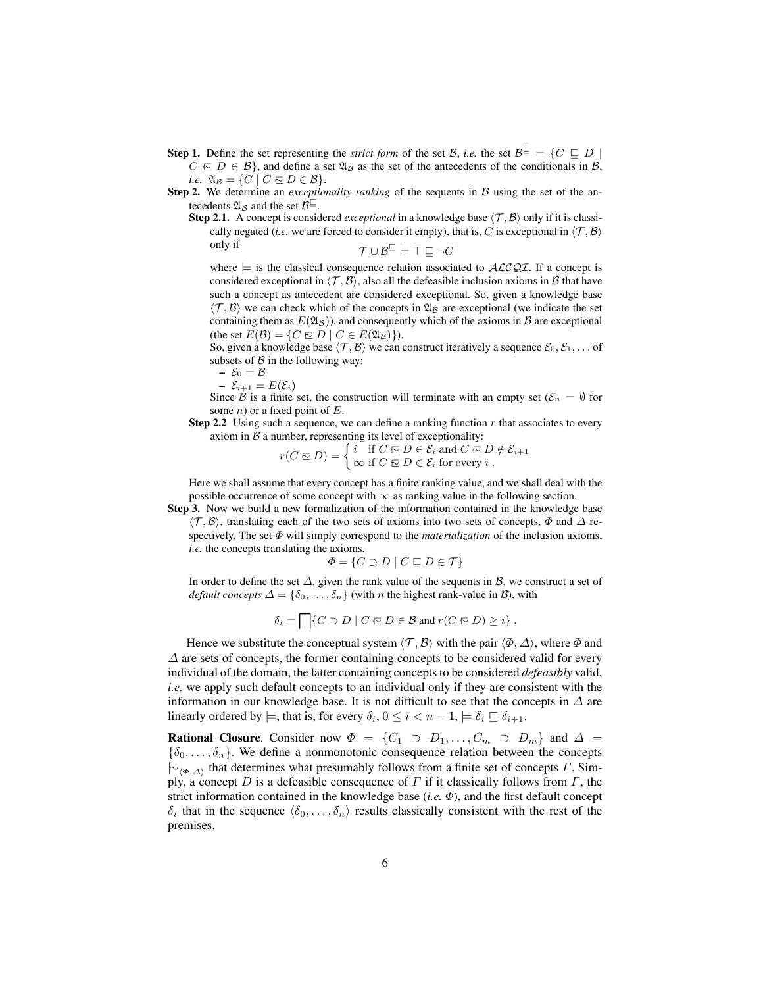- **Step 1.** Define the set representing the *strict form* of the set B, *i.e.* the set  $B^{\sqsubseteq} = \{C \sqsubseteq D \mid$  $C \n\in D \in \mathcal{B}$ , and define a set  $\mathfrak{A}_{\mathcal{B}}$  as the set of the antecedents of the conditionals in  $\mathcal{B}$ , *i.e.*  $\mathfrak{A}_{\mathcal{B}} = \{ C \mid C \in D \in \mathcal{B} \}.$
- Step 2. We determine an *exceptionality ranking* of the sequents in B using the set of the antecedents  $\mathfrak{A}_{\mathcal{B}}$  and the set  $\mathcal{B}^{\sqsubseteq}$ .
	- Step 2.1. A concept is considered *exceptional* in a knowledge base  $\langle \mathcal{T}, \mathcal{B} \rangle$  only if it is classically negated (*i.e.* we are forced to consider it empty), that is, C is exceptional in  $\langle T, \mathcal{B} \rangle$ only if  $\mathcal{T} \cup \mathcal{B}^{\sqsubseteq} \models \top \sqsubseteq \neg C$

where  $\models$  is the classical consequence relation associated to  $ALCQI$ . If a concept is considered exceptional in  $\langle \mathcal{T}, \mathcal{B} \rangle$ , also all the defeasible inclusion axioms in B that have such a concept as antecedent are considered exceptional. So, given a knowledge base  $\langle \mathcal{T}, \mathcal{B} \rangle$  we can check which of the concepts in  $\mathfrak{A}_\mathcal{B}$  are exceptional (we indicate the set containing them as  $E(\mathfrak{A}_\mathcal{B})$ , and consequently which of the axioms in  $\mathcal B$  are exceptional (the set  $E(\mathcal{B}) = \{ C \in D \mid C \in E(\mathfrak{A}_{\mathcal{B}}) \}.$ 

So, given a knowledge base  $\langle \mathcal{T}, \mathcal{B} \rangle$  we can construct iteratively a sequence  $\mathcal{E}_0, \mathcal{E}_1, \dots$  of subsets of  $\beta$  in the following way:

$$
- \mathcal{E}_0 = \mathcal{B}
$$

 $-\mathcal{E}_{i+1} = E(\mathcal{E}_i)$ 

Since B is a finite set, the construction will terminate with an empty set ( $\mathcal{E}_n = \emptyset$  for some  $n$ ) or a fixed point of  $E$ .

**Step 2.2** Using such a sequence, we can define a ranking function  $r$  that associates to every axiom in  $B$  a number, representing its level of exceptionality:

$$
r(C \boxtimes D) = \begin{cases} i & \text{if } C \boxtimes D \in \mathcal{E}_i \text{ and } C \boxtimes D \notin \mathcal{E}_{i+1} \\ \infty & \text{if } C \boxtimes D \in \mathcal{E}_i \text{ for every } i \end{cases}.
$$

Here we shall assume that every concept has a finite ranking value, and we shall deal with the possible occurrence of some concept with  $\infty$  as ranking value in the following section.

Step 3. Now we build a new formalization of the information contained in the knowledge base  $\langle \mathcal{T}, \mathcal{B} \rangle$ , translating each of the two sets of axioms into two sets of concepts,  $\Phi$  and  $\Delta$  respectively. The set Φ will simply correspond to the *materialization* of the inclusion axioms, *i.e.* the concepts translating the axioms.

$$
\Phi = \{ C \supset D \mid C \sqsubseteq D \in \mathcal{T} \}
$$

In order to define the set  $\Delta$ , given the rank value of the sequents in  $\beta$ , we construct a set of *default concepts*  $\Delta = \{\delta_0, \ldots, \delta_n\}$  (with *n* the highest rank-value in  $\mathcal{B}$ ), with

$$
\delta_i = \bigcap \{ C \supset D \mid C \in D \in \mathcal{B} \text{ and } r(C \in D) \geq i \} .
$$

Hence we substitute the conceptual system  $\langle \mathcal{T}, \mathcal{B} \rangle$  with the pair  $\langle \Phi, \Delta \rangle$ , where  $\Phi$  and  $\Delta$  are sets of concepts, the former containing concepts to be considered valid for every individual of the domain, the latter containing concepts to be considered *defeasibly* valid, *i.e.* we apply such default concepts to an individual only if they are consistent with the information in our knowledge base. It is not difficult to see that the concepts in  $\Delta$  are linearly ordered by  $\models$ , that is, for every  $\delta_i$ ,  $0 \leq i < n - 1$ ,  $\models \delta_i \sqsubseteq \delta_{i+1}$ .

<span id="page-5-0"></span>**Rational Closure.** Consider now  $\Phi = \{C_1 \supset D_1, \ldots, C_m \supset D_m\}$  and  $\Delta =$  ${\lbrace \delta_0, \ldots, \delta_n \rbrace}$ . We define a nonmonotonic consequence relation between the concepts  $\vdash_{\langle \Phi, \Delta \rangle}$  that determines what presumably follows from a finite set of concepts *Γ*. Simply, a concept D is a defeasible consequence of  $\Gamma$  if it classically follows from  $\Gamma$ , the strict information contained in the knowledge base  $(i.e. \Phi)$ , and the first default concept  $\delta_i$  that in the sequence  $\langle \delta_0, \ldots, \delta_n \rangle$  results classically consistent with the rest of the premises.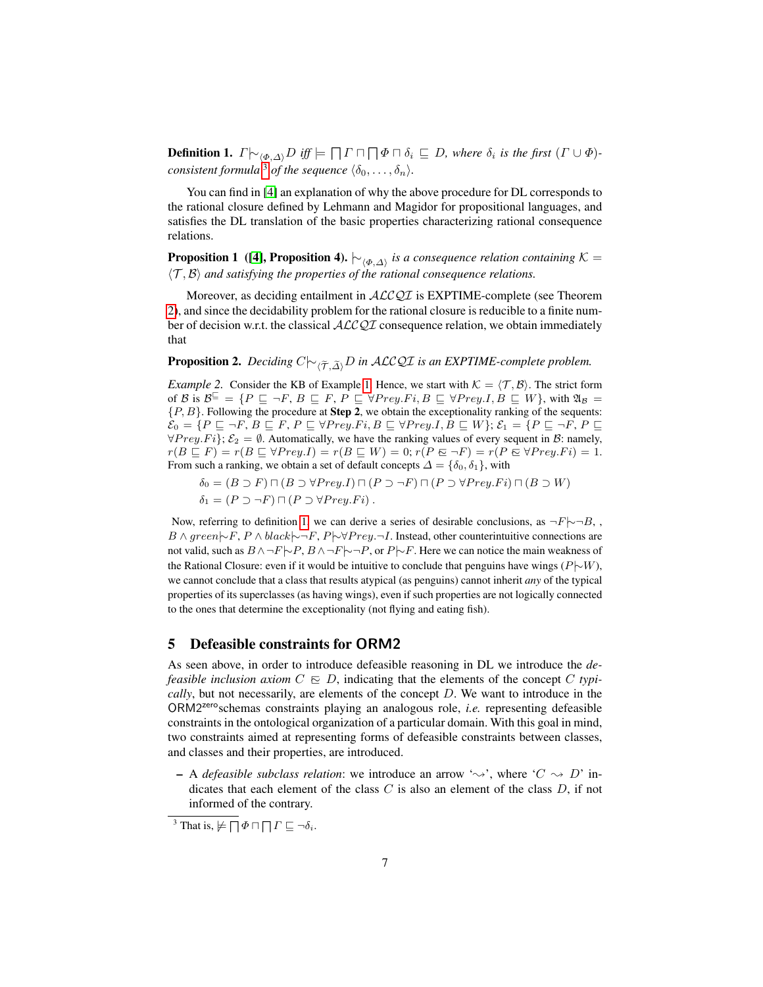**Definition 1.**  $\Gamma \rvert_{\sim_{\langle \Phi, \Delta \rangle}} D$  iff  $\models \Box \Gamma \sqcap \Box \Phi \sqcap \delta_i \sqsubseteq D$ , where  $\delta_i$  is the first  $(\Gamma \cup \Phi)$ *consistent formula*<sup>[3](#page-6-1)</sup> *of the sequence*  $\langle \delta_0, \ldots, \delta_n \rangle$ *.* 

You can find in [\[4\]](#page-11-3) an explanation of why the above procedure for DL corresponds to the rational closure defined by Lehmann and Magidor for propositional languages, and satisfies the DL translation of the basic properties characterizing rational consequence relations.

**Proposition 1** ([\[4\]](#page-11-3), Proposition 4).  $\vdash_{\langle \Phi, \Delta \rangle}$  is a consequence relation containing  $\mathcal{K} =$  $\langle T, \mathcal{B} \rangle$  *and satisfying the properties of the rational consequence relations.* 

Moreover, as deciding entailment in  $ALCQI$  is EXPTIME-complete (see Theorem [2\)](#page-3-0), and since the decidability problem for the rational closure is reducible to a finite number of decision w.r.t. the classical  $\text{ACCQI}$  consequence relation, we obtain immediately that

**Proposition 2.** *Deciding*  $C$  $\sim_{\widetilde{(\mathcal{T},\widetilde{\Delta})}} D$  *in ALCQI is an EXPTIME-complete problem.* 

<span id="page-6-0"></span>*Example 2.* Consider the KB of Example [1.](#page-4-0) Hence, we start with  $K = \langle T, \mathcal{B} \rangle$ . The strict form of B is  $\mathcal{B}^{\sqsubseteq} = \{P \sqsubseteq \neg F, B \sqsubseteq F, P \sqsubseteq \forall Prey.Fi, B \sqsubseteq \forall Prey.I, B \sqsubseteq W\}$ , with  $\mathfrak{A}_\mathcal{B} =$  ${P, B}$ . Following the procedure at **Step 2**, we obtain the exceptionality ranking of the sequents:  $\mathcal{E}_0 = \{P \sqsubseteq \neg F, B \sqsubseteq F, P \sqsubseteq \forall Prey. Fi, B \sqsubseteq \forall Prey. I, B \sqsubseteq W\}; \mathcal{E}_1 = \{P \sqsubseteq \neg F, P \sqsubseteq \neg F\}$  $\forall Prey.Fi$ ;  $\mathcal{E}_2 = \emptyset$ . Automatically, we have the ranking values of every sequent in  $\mathcal{B}$ : namely,  $r(B \subseteq F) = r(B \subseteq \forall \text{Prey.} I) = r(B \subseteq W) = 0; r(P \in \neg F) = r(P \in \forall \text{Prey.} Fi) = 1.$ From such a ranking, we obtain a set of default concepts  $\Delta = {\delta_0, \delta_1}$ , with

$$
\delta_0 = (B \supset F) \sqcap (B \supset \forall \text{Prey}.I) \sqcap (P \supset \neg F) \sqcap (P \supset \forall \text{Prey}.Fi) \sqcap (B \supset W)
$$

$$
\delta_1 = (P \supset \neg F) \sqcap (P \supset \forall \text{Prey}.Fi).
$$

Now, referring to definition [1,](#page-5-0) we can derive a series of desirable conclusions, as  $\neg F \neg \neg B$ ,  $B \wedge green \neg F, P \wedge black \neg F, P \neg \forall Prey. \neg I$ . Instead, other counterintuitive connections are not valid, such as  $B \land \neg F \neg P$ ,  $B \land \neg F \neg P$ , or  $P \neg F$ . Here we can notice the main weakness of the Rational Closure: even if it would be intuitive to conclude that penguins have wings  $(P \cup W)$ , we cannot conclude that a class that results atypical (as penguins) cannot inherit *any* of the typical properties of its superclasses (as having wings), even if such properties are not logically connected to the ones that determine the exceptionality (not flying and eating fish).

#### 5 Defeasible constraints for ORM2

As seen above, in order to introduce defeasible reasoning in DL we introduce the *defeasible inclusion axiom*  $C \nightharpoonup D$ , indicating that the elements of the concept C *typically*, but not necessarily, are elements of the concept D. We want to introduce in the ORM2zeroschemas constraints playing an analogous role, *i.e.* representing defeasible constraints in the ontological organization of a particular domain. With this goal in mind, two constraints aimed at representing forms of defeasible constraints between classes, and classes and their properties, are introduced.

– A *defeasible subclass relation*: we introduce an arrow ' $\rightsquigarrow$ ', where 'C  $\rightsquigarrow$  D' indicates that each element of the class  $C$  is also an element of the class  $D$ , if not informed of the contrary.

<span id="page-6-2"></span><span id="page-6-1"></span><sup>&</sup>lt;sup>3</sup> That is,  $\not\models \Box \Phi \sqcap \Box \Gamma \sqsubseteq \neg \delta_i$ .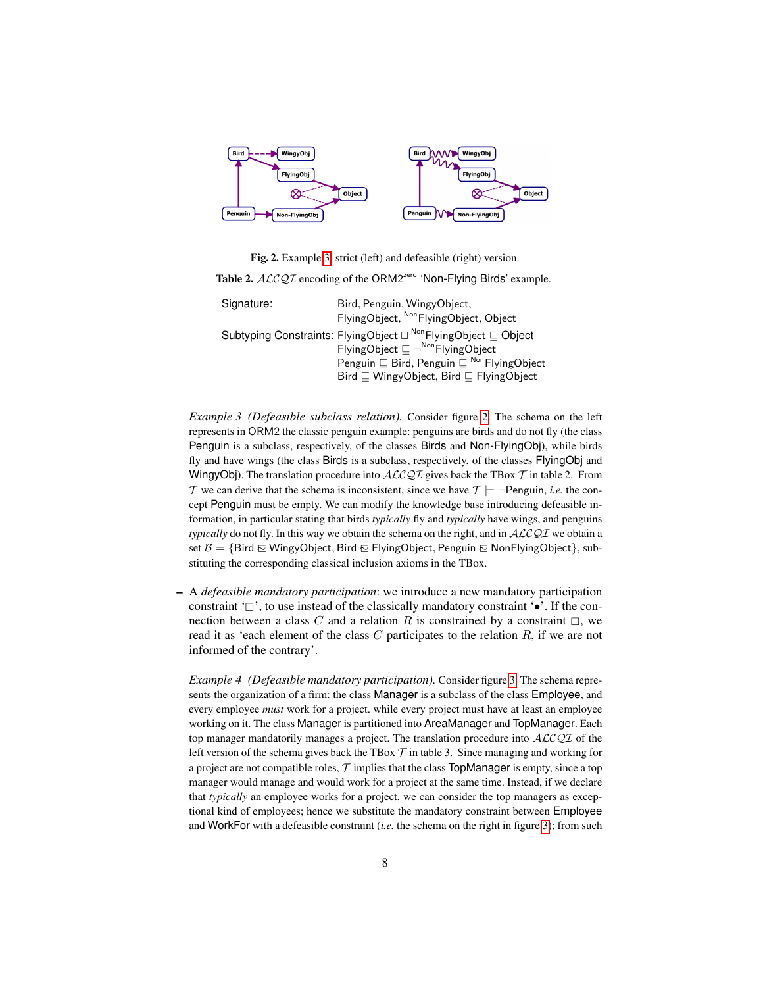

<span id="page-7-0"></span>Fig. 2. Example [3,](#page-6-2) strict (left) and defeasible (right) version. Table 2. ALCQI encoding of the ORM2<sup>zero</sup> 'Non-Flying Birds' example.

| Signature: | Bird, Penguin, WingyObject,<br>FlyingObject, Non FlyingObject, Object                                                                         |
|------------|-----------------------------------------------------------------------------------------------------------------------------------------------|
|            | Subtyping Constraints: FlyingObject $\sqcup$ Non FlyingObject $\sqsubset$ Object<br>FlyingObject $\sqsubseteq \neg^{\text{Non}}$ FlyingObject |
|            | Penguin $\sqsubseteq$ Bird, Penguin $\sqsubseteq$ Non Flying Object<br>Bird $\sqsubseteq$ WingyObject, Bird $\sqsubseteq$ FlyingObject        |

*Example 3 (Defeasible subclass relation).* Consider figure [2.](#page-7-0) The schema on the left represents in ORM2 the classic penguin example: penguins are birds and do not fly (the class Penguin is a subclass, respectively, of the classes Birds and Non-FlyingObj), while birds fly and have wings (the class Birds is a subclass, respectively, of the classes FlyingObj and WingyObj). The translation procedure into  $ALCQI$  gives back the TBox  $T$  in table 2. From T we can derive that the schema is inconsistent, since we have  $T \models \neg \text{Penguin}, i.e.$  the concept Penguin must be empty. We can modify the knowledge base introducing defeasible information, in particular stating that birds *typically* fly and *typically* have wings, and penguins *typically* do not fly. In this way we obtain the schema on the right, and in  $ALCQI$  we obtain a set B = {Bird ∈ WingyObject, Bird ∈ FlyingObject, Penguin ∈ NonFlyingObject}, substituting the corresponding classical inclusion axioms in the TBox.

– A *defeasible mandatory participation*: we introduce a new mandatory participation constraint ' $\Box$ ', to use instead of the classically mandatory constraint ' $\bullet$ '. If the connection between a class C and a relation R is constrained by a constraint  $\Box$ , we read it as 'each element of the class  $C$  participates to the relation  $R$ , if we are not informed of the contrary'.

<span id="page-7-1"></span>*Example 4 (Defeasible mandatory participation).* Consider figure [3.](#page-8-0) The schema represents the organization of a firm: the class Manager is a subclass of the class Employee, and every employee *must* work for a project. while every project must have at least an employee working on it. The class Manager is partitioned into AreaManager and TopManager. Each top manager mandatorily manages a project. The translation procedure into ALCQI of the left version of the schema gives back the TBox  $\mathcal T$  in table 3. Since managing and working for a project are not compatible roles,  $\mathcal T$  implies that the class TopManager is empty, since a top manager would manage and would work for a project at the same time. Instead, if we declare that *typically* an employee works for a project, we can consider the top managers as exceptional kind of employees; hence we substitute the mandatory constraint between Employee and WorkFor with a defeasible constraint (*i.e.* the schema on the right in figure [3\)](#page-8-0); from such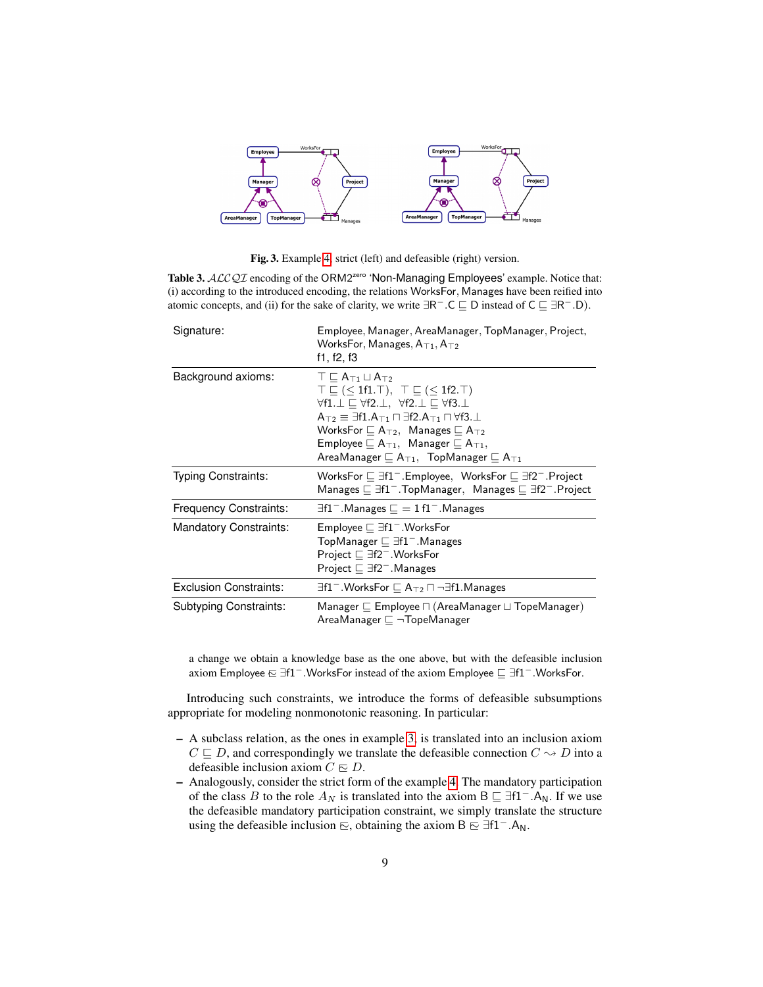

Fig. 3. Example [4,](#page-7-1) strict (left) and defeasible (right) version.

<span id="page-8-0"></span>Table 3. ALCQI encoding of the ORM2<sup>zero</sup> 'Non-Managing Employees' example. Notice that: (i) according to the introduced encoding, the relations WorksFor, Manages have been reified into atomic concepts, and (ii) for the sake of clarity, we write  $\exists R^- \ldotp C \sqsubseteq D$  instead of  $C \sqsubseteq \exists R^- \ldotp D$ ).

| Signature:                    | Employee, Manager, AreaManager, TopManager, Project,<br>WorksFor, Manages, $A_{T1}$ , $A_{T2}$<br>f1, f2, f3                                                                                                                                                                                                                                                                                                                                                                                  |
|-------------------------------|-----------------------------------------------------------------------------------------------------------------------------------------------------------------------------------------------------------------------------------------------------------------------------------------------------------------------------------------------------------------------------------------------------------------------------------------------------------------------------------------------|
| Background axioms:            | $T \sqsubset A_{T1} \sqcup A_{T2}$<br>$\top \sqsubseteq (\leq 1f1.\top), \top \sqsubseteq (\leq 1f2.\top)$<br>$\forall f1. \bot \sqsubseteq \forall f2. \bot, \forall f2. \bot \sqsubseteq \forall f3. \bot$<br>$A_{T2} \equiv \exists f1.A_{T1} \sqcap \exists f2.A_{T1} \sqcap \forall f3.\bot$<br>WorksFor $\Box A_{T2}$ , Manages $\Box A_{T2}$<br>Employee $\Box A_{\top 1}$ , Manager $\Box A_{\top 1}$ ,<br>AreaManager $\sqsubseteq A_{\top 1}$ , TopManager $\sqsubseteq A_{\top 1}$ |
| Typing Constraints:           | WorksFor $\sqsubseteq \exists f1^-$ . Employee, WorksFor $\sqsubseteq \exists f2^-$ . Project<br>Manages $\Box$ $\exists$ f1 <sup>-</sup> . TopManager, Manages $\Box$ $\exists$ f2 <sup>-</sup> . Project                                                                                                                                                                                                                                                                                    |
| <b>Frequency Constraints:</b> | $\exists$ f1 <sup>-</sup> .Manages $\Box$ = 1 f1 <sup>-</sup> .Manages                                                                                                                                                                                                                                                                                                                                                                                                                        |
| <b>Mandatory Constraints:</b> | Employee $\Box$ $\exists$ f1 <sup>-</sup> . WorksFor<br>TopManager $\Box$ $\exists$ f1 <sup>-</sup> . Manages<br>Project $\Box$ $\exists$ f2 <sup>-</sup> . WorksFor<br>Project $\Box$ $\exists$ f2 <sup>-</sup> . Manages                                                                                                                                                                                                                                                                    |
| <b>Exclusion Constraints:</b> | $\exists$ f1 <sup>-</sup> .WorksFor $\sqsubseteq$ A <sub>T2</sub> $\sqcap$ $\neg$ $\exists$ f1.Manages                                                                                                                                                                                                                                                                                                                                                                                        |
| <b>Subtyping Constraints:</b> | Manager $\sqsubseteq$ Employee $\sqcap$ (AreaManager $\sqcup$ TopeManager)<br>AreaManager $\sqsubset \neg \mathsf{TopeManager}$                                                                                                                                                                                                                                                                                                                                                               |

a change we obtain a knowledge base as the one above, but with the defeasible inclusion axiom Employee  $\boldsymbol{\epsilon} \equiv \exists f1^-$ .WorksFor instead of the axiom Employee  $\boldsymbol{\epsilon} \equiv \exists f1^-$ .WorksFor.

Introducing such constraints, we introduce the forms of defeasible subsumptions appropriate for modeling nonmonotonic reasoning. In particular:

- A subclass relation, as the ones in example [3,](#page-6-2) is translated into an inclusion axiom  $C \sqsubseteq D$ , and correspondingly we translate the defeasible connection  $C \rightarrow D$  into a defeasible inclusion axiom  $C \nightharpoonup D$ .
- Analogously, consider the strict form of the example [4.](#page-7-1) The mandatory participation of the class B to the role  $A_N$  is translated into the axiom B  $\subseteq \exists f1^-.A_N$ . If we use the defeasible mandatory participation constraint, we simply translate the structure using the defeasible inclusion  $\Xi$ , obtaining the axiom B  $\Xi$  ∃f1<sup>-</sup>.A<sub>N</sub>.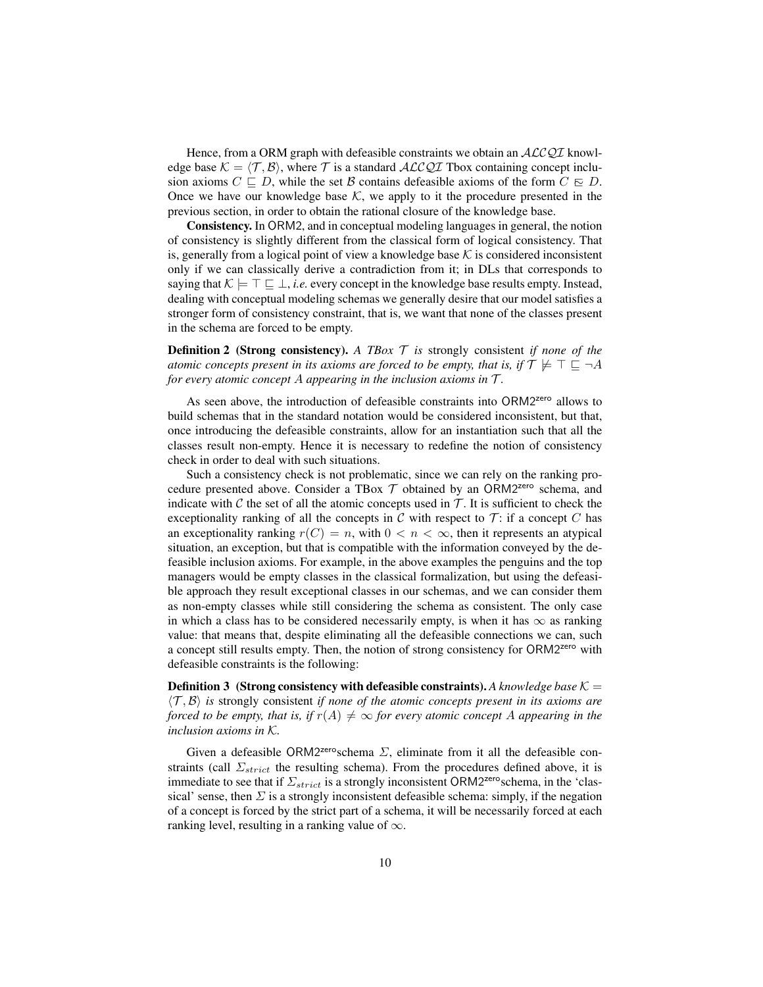Hence, from a ORM graph with defeasible constraints we obtain an  $ALCQI$  knowledge base  $K = \langle T, B \rangle$ , where T is a standard ALCQI Tbox containing concept inclusion axioms  $C \sqsubset D$ , while the set B contains defeasible axioms of the form  $C \sqsubset D$ . Once we have our knowledge base  $K$ , we apply to it the procedure presented in the previous section, in order to obtain the rational closure of the knowledge base.

Consistency. In ORM2, and in conceptual modeling languages in general, the notion of consistency is slightly different from the classical form of logical consistency. That is, generally from a logical point of view a knowledge base  $K$  is considered inconsistent only if we can classically derive a contradiction from it; in DLs that corresponds to saying that  $\mathcal{K} \models \top \sqsubseteq \bot$ , *i.e.* every concept in the knowledge base results empty. Instead, dealing with conceptual modeling schemas we generally desire that our model satisfies a stronger form of consistency constraint, that is, we want that none of the classes present in the schema are forced to be empty.

**Definition 2** (Strong consistency). A TBox  $T$  is strongly consistent *if none of the atomic concepts present in its axioms are forced to be empty, that is, if*  $\mathcal{T} \not\models \top \sqsubseteq \neg A$ *for every atomic concept* A *appearing in the inclusion axioms in* T *.*

As seen above, the introduction of defeasible constraints into ORM2<sup>zero</sup> allows to build schemas that in the standard notation would be considered inconsistent, but that, once introducing the defeasible constraints, allow for an instantiation such that all the classes result non-empty. Hence it is necessary to redefine the notion of consistency check in order to deal with such situations.

Such a consistency check is not problematic, since we can rely on the ranking procedure presented above. Consider a TBox  $T$  obtained by an ORM2<sup>zero</sup> schema, and indicate with C the set of all the atomic concepts used in  $\mathcal T$ . It is sufficient to check the exceptionality ranking of all the concepts in  $C$  with respect to  $T$ : if a concept  $C$  has an exceptionality ranking  $r(C) = n$ , with  $0 < n < \infty$ , then it represents an atypical situation, an exception, but that is compatible with the information conveyed by the defeasible inclusion axioms. For example, in the above examples the penguins and the top managers would be empty classes in the classical formalization, but using the defeasible approach they result exceptional classes in our schemas, and we can consider them as non-empty classes while still considering the schema as consistent. The only case in which a class has to be considered necessarily empty, is when it has  $\infty$  as ranking value: that means that, despite eliminating all the defeasible connections we can, such a concept still results empty. Then, the notion of strong consistency for ORM2zero with defeasible constraints is the following:

**Definition 3** (Strong consistency with defeasible constraints). A knowledge base  $K =$  $\langle \mathcal{T}, \mathcal{B} \rangle$  *is* strongly consistent *if none of the atomic concepts present in its axioms are forced to be empty, that is, if*  $r(A) \neq \infty$  *for every atomic concept* A *appearing in the inclusion axioms in* K*.*

Given a defeasible ORM2<sup>zero</sup>schema  $\Sigma$ , eliminate from it all the defeasible constraints (call  $\Sigma_{strict}$  the resulting schema). From the procedures defined above, it is immediate to see that if  $\Sigma_{strict}$  is a strongly inconsistent ORM2<sup>zero</sup>schema, in the 'classical' sense, then  $\Sigma$  is a strongly inconsistent defeasible schema: simply, if the negation of a concept is forced by the strict part of a schema, it will be necessarily forced at each ranking level, resulting in a ranking value of  $\infty$ .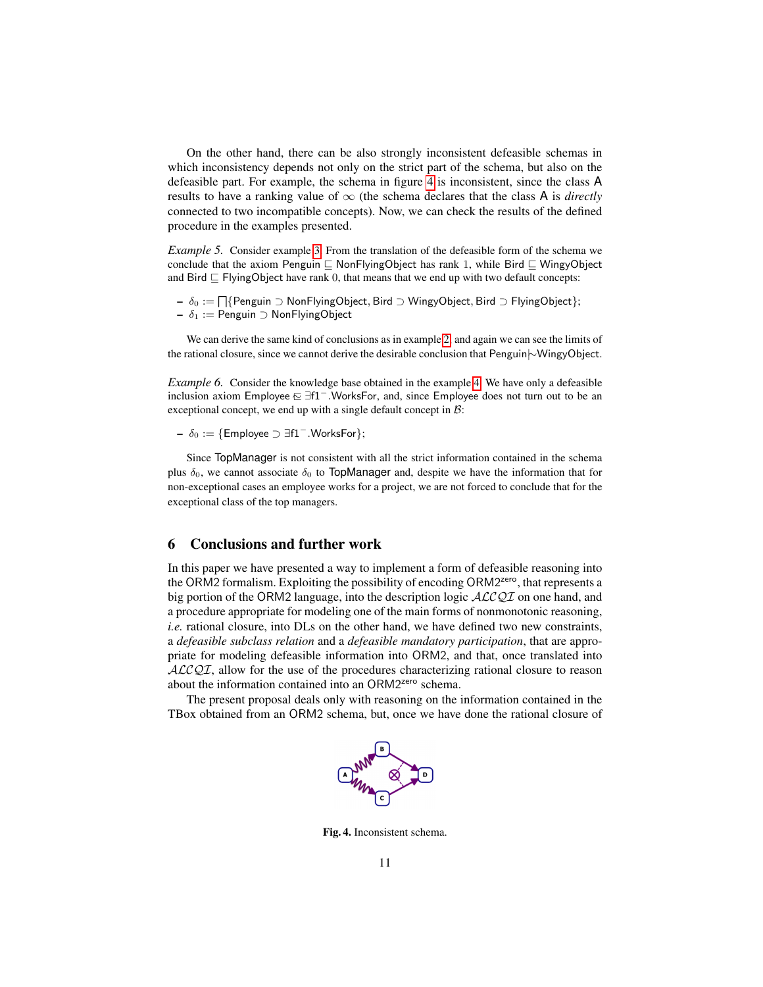On the other hand, there can be also strongly inconsistent defeasible schemas in which inconsistency depends not only on the strict part of the schema, but also on the defeasible part. For example, the schema in figure [4](#page-10-0) is inconsistent, since the class A results to have a ranking value of  $\infty$  (the schema declares that the class A is *directly* connected to two incompatible concepts). Now, we can check the results of the defined procedure in the examples presented.

*Example 5.* Consider example [3.](#page-6-2) From the translation of the defeasible form of the schema we conclude that the axiom Penguin  $\sqsubseteq$  NonFlyingObject has rank 1, while Bird  $\sqsubseteq$  WingyObject and Bird  $\sqsubseteq$  FlyingObject have rank 0, that means that we end up with two default concepts:

—  $\delta_0 := \bigcap \{\text{Penguin } \supset \text{NonFlyingObject}, \text{Bird } \supset \text{WingObject}, \text{Bird } \supset \text{FlyingObject}\};$  $- \delta_1$  := Penguin ⊃ NonFlyingObject

We can derive the same kind of conclusions as in example [2,](#page-6-0) and again we can see the limits of the rational closure, since we cannot derive the desirable conclusion that Penguin|∼WingyObject.

*Example 6.* Consider the knowledge base obtained in the example [4.](#page-7-1) We have only a defeasible inclusion axiom Employee  $\boldsymbol{\in}$  ∃f1<sup>−</sup>. WorksFor, and, since Employee does not turn out to be an exceptional concept, we end up with a single default concept in  $B$ :

–  $\delta_0 := \{ \text{Employee } \supset \exists f1^- \text{.WorksFor } \};$ 

Since TopManager is not consistent with all the strict information contained in the schema plus  $\delta_0$ , we cannot associate  $\delta_0$  to TopManager and, despite we have the information that for non-exceptional cases an employee works for a project, we are not forced to conclude that for the exceptional class of the top managers.

## 6 Conclusions and further work

In this paper we have presented a way to implement a form of defeasible reasoning into the ORM2 formalism. Exploiting the possibility of encoding ORM2<sup>zero</sup>, that represents a big portion of the ORM2 language, into the description logic  $\mathcal{ALCQI}$  on one hand, and a procedure appropriate for modeling one of the main forms of nonmonotonic reasoning, *i.e.* rational closure, into DLs on the other hand, we have defined two new constraints, a *defeasible subclass relation* and a *defeasible mandatory participation*, that are appropriate for modeling defeasible information into ORM2, and that, once translated into  $ALCQI$ , allow for the use of the procedures characterizing rational closure to reason about the information contained into an ORM2<sup>zero</sup> schema.

<span id="page-10-0"></span>The present proposal deals only with reasoning on the information contained in the TBox obtained from an ORM2 schema, but, once we have done the rational closure of



Fig. 4. Inconsistent schema.